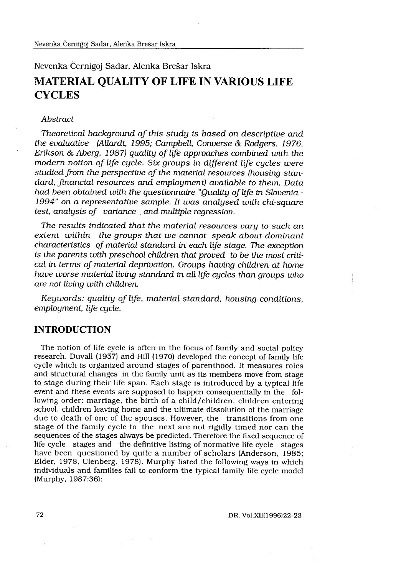# Nevenka Černigoj Sadar, Alenka Brešar Iškra MATERIAL QUALITY OF LIFE IN VARIOUS LIFE **CYCLES**

#### Abstract

Theoretical background of this study is based on descriptive and the evaluative (Allardt, 1995; Campbell, Converse & Rodgers, 1976, Erikson & Aberg, 1987) quality of life approaches combined with the modern notion of life cycle. Six groups in different life cucles were studied from the perspective of the material resources (housing standard, financial resources and employment) available to them. Data had been obtained with the questionnaire "Quality of life in Slovenia - 1994" on a representative sample. It was analysed with chi-square test, analysis of variance and multiple regression.

The results indicated that the material resources vary to such an extent within the groups that we cannot speak about dominant characteristics of material standard in each life stage. The exception is the parents with preschool children that proved to be the most critical in terms of material deprivation. Groups having children at home have worse material living standard in all life cycles than groups who are not living with children.

Keywords: quality of life, material standard, housing conditions, employment, life cycle.

# INTRODUCTION

The notion of life cycle is often in the focus of family and social policy research. Duvall (1957) and Hill (1970) developed the concept of family life cycle which is organized around stages of parenthood . It measures roles and structural changes in the family unit as its members move from stage to stage during their life span. Each stage is introduced by a typical life event and these events are supposed to happen consequentially in the following order: marriage, the birth of a child/children, children entering school, children leaving home and the ultimate dissolution of the marriage due to death of one of the spouses. However, the transitions from one stage of the family cycle to the next are not rigidly timed nor can the sequences of the stages always be predicted. Therefore the fixed sequence of life cycle stages and the definitive listing of normative life cycle stages have been questioned by quite a number of scholars (Anderson, 1985; Elder, 1978, Ulenberg, 1978) . Murphy listed the following ways in which individuals and families fail to conform the typical family life cycle model (Murphy, 1987:36):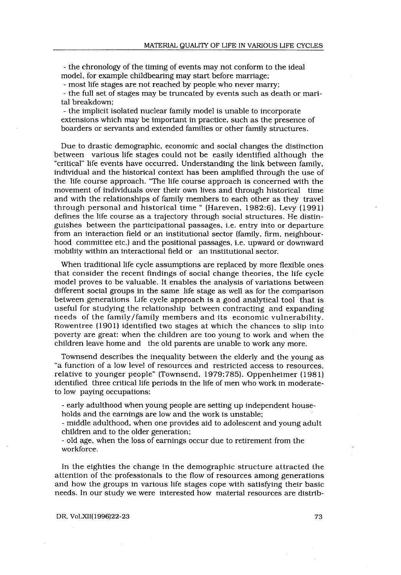- the chronology of the timing of events may not conform to the ideal model, for example childbearing may start before marriage;

- most life stages are not reached by people who never marry ;

- the full set of stages may be truncated by events such as death or marital breakdown:

- the implicit isolated nuclear family model is unable to incorporate extensions which may be important in practice, such as the presence of boarders or servants and extended families or other family structures .

Due to drastic demographic, economic and social changes the distinction between various life stages could not be easily identified although the "critical" life events have occurred . Understanding the link between family, individual and the historical context has been amplified through the use of the life course approach . "The life course approach is concerned with the movement of individuals over their own lives and through historical time and with the relationships of family members to each other as they travel through personal and historical time " (Hareven, 1982:6). Levy (1991) defines the life course as a trajectory through social structures . He distinguishes between the participational passages, i.e. entry into or departure from an interaction field or an institutional sector (family, firm, neighbourhood committee etc.) and the positional passages, i.e. upward or downward mobility within an interactional field or an institutional sector.

When traditional life cycle assumptions are replaced by more flexible ones that consider the recent findings of social change theories, the life cycle model proves to be valuable . It enables the analysis of variations between different social groups in the same life stage as well as for the comparison between generations Life cycle approach is a good analytical tool that is useful for studying the relationship between contracting and expanding needs of the family/family members and its economic vulnerability . Rowentree (1901) identified two stages at which the chances to slip into poverty are great: when the children are too young to work and when the children leave home and the old parents are unable to work any more.

Townsend describes the inequality between the elderly and the young as "a function of a low level of resources and restricted access to resources, relative to younger people" (Townsend, 1979:785). Oppenheimer (1981) identified three critical life periods in the life of men who work in moderateto low paying occupations:

- early adulthood when young people are setting up independent households and the earnings are low and the work is unstable;

- middle adulthood, when one provides aid to adolescent and young adult children and to the older generation;

- old age, when the loss of earnings occur due to retirement from the workforce.

In the eighties the change in the demographic structure attracted the attention of the professionals to the flow of resources among generations and how the groups in various life stages cope with satisfying their basic needs. In our study we were interested how material resources are distrib-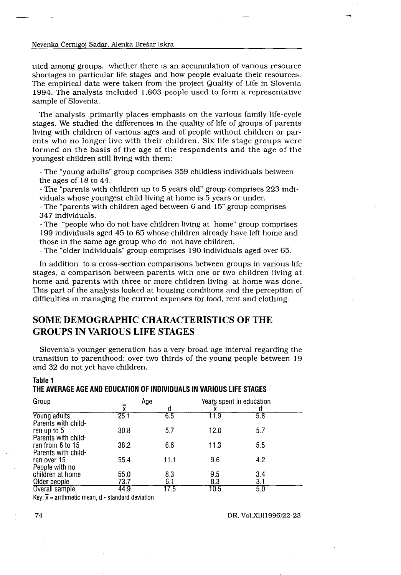#### Nevenka Černigoj Sadar, Alenka Brešar Iskra

 $\frac{1}{2} \left( \frac{1}{2} \right)$ 

 $\frac{1}{\sqrt{2\pi}}\int_0^1\frac{1}{\sqrt{2\pi}}\left(\frac{1}{\sqrt{2\pi}}\right)^2\frac{1}{2\sqrt{2\pi}}\left(\frac{1}{\sqrt{2\pi}}\right)^2\frac{1}{2\sqrt{2\pi}}\left(\frac{1}{\sqrt{2\pi}}\right)^2\frac{1}{2\sqrt{2\pi}}\left(\frac{1}{\sqrt{2\pi}}\right)^2\frac{1}{2\sqrt{2\pi}}\left(\frac{1}{\sqrt{2\pi}}\right)^2\frac{1}{2\sqrt{2\pi}}\left(\frac{1}{\sqrt{2\pi}}\right)^2\frac{1}{2\sqrt{2\pi}}\frac{1$ 

uted among groups, whether there is an accumulation of various resource shortages in particular life stages and how people evaluate their resources . The empirical data were taken from the project Quality of Life in Slovenia 1994. The analysis included 1,803 people used to form a representative sample of Slovenia.

The analysis primarily places emphasis on the various family life-cycle stages. We studied the differences in the quality of life of groups of parents living with children of various ages and of people without children or parents who no longer live with their children . Six life stage groups were formed on the basis of the age of the respondents and the age of the youngest children still living with them : Nevenha Cernigoj Sadar. Alenka Breŝar labra<br>
uted among groups, whether there is an accumulation of various<br>
shortages in particular life singles and how people evaluate their<br>
The empirical data were taken from the proje

- The "young adults" group comprises 359 childless individuals between the ages of 18 to 44 .

- The "parents with children up to 5 years old" group comprises 223 individuals whose youngest child living at home is 5 years or under .

- The "parents with children aged between 6 and 15" group comprises 347 individuals .

- The "people who do not have children living at home" group comprises 199 individuals aged 45 to 65 whose children already have left home and those in the same age group who do not have children.

- The "older individuals" group comprises 190 individuals aged over 65 .

In addition to a cross-section comparisons between groups in various life stages, a comparison between parents with one or two children living at home and parents with three or more children living at home was done . This part of the analysis looked at housing conditions and the perception of difficulties in managing the current expenses for food, rent and clothing.

# SOME DEMOGRAPHIC CHARACTERISTICS OF THE GROUPS IN VARIOUS LIFE STAGES

| Table 1<br>THE AVERAGE AGE AND EDUCATION OF INDIVIDUALS IN VARIOUS LIFE STAGES |                   |          |                          |     |
|--------------------------------------------------------------------------------|-------------------|----------|--------------------------|-----|
| Group                                                                          | Age               |          | Years spent in education |     |
| Young adults                                                                   | $\bar{x}$<br>25.1 | d<br>6.5 | 11.9                     | 5.8 |
| Parents with child-                                                            |                   |          |                          |     |
| ren up to 5                                                                    | 30.8              | 5.7      | 12.0                     | 5.7 |
| Parents with child-                                                            |                   |          |                          |     |
| ren from 6 to 15                                                               | 38.2              | 6.6      | 11.3                     | 5.5 |
| Parents with child-<br>ren over 15                                             | 55.4              | 11.1     | 9.6                      | 4.2 |
| People with no                                                                 |                   |          |                          |     |
| children at home                                                               | 55.0              | 8.3      | 9.5                      | 3.4 |
| Older people                                                                   | 73.7              | 6.1      | 8.3                      | 3.1 |
| Overall sample                                                                 | 44.9              | 17.5     | 10.5                     | 5.0 |

#### THE AVERAGE AGE AND EDUCATION OF INDIVIDUALS IN VARIOUS LIFE STAGES

DR, Vol .XII(1996)22-23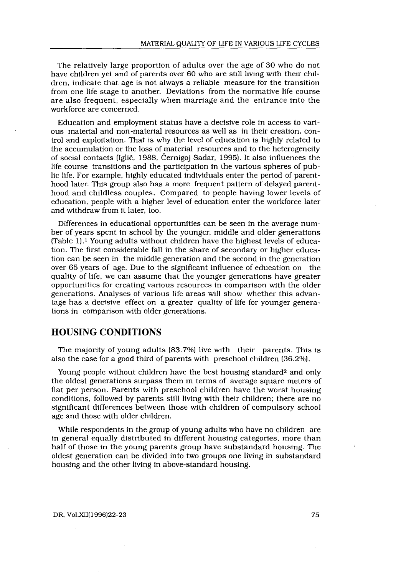The relatively large proportion of adults over the age of 30 who do not have children yet and of parents over 60 who are still living with their children, indicate that age is not always a reliable measure for the transition from one life stage to another. Deviations from the normative life course are also frequent, especially when marriage and the entrance into the workforce are concerned.

Education and employment status have a decisive role in access to various material and non-material resources as well as in their creation, control and exploitation. That is why the level of education is highly related to the accumulation or the loss of material resources and to the heterogeneity of social contacts (Iglič, 1988, Černigoj Sadar, 1995) . It also influences the life course transitions and the participation in the various spheres of public life . For example, highly educated individuals enter the period of parenthood later. This group also has a more frequent pattern of delayed parenthood and childless couples. Compared to people having lower levels of education, people with a higher level of education enter the workforce later and withdraw from it later, too.

Differences in educational opportunities can be seen in the average number of years spent in school by the younger, middle and older generations (Table 1).<sup>1</sup> Young adults without children have the highest levels of education. The first considerable fall in the share of secondary or higher education can be seen in the middle generation and the second in the generation over 65 years of age. Due to the significant influence of education on the quality of life, we can assume that the younger generations have greater opportunities for creating various resources in comparison with the older generations. Analyses of various life areas will show whether this advantage has a decisive effect on a greater quality of life for younger generations in comparison with older generations.

# HOUSING CONDITIONS

The majority of young adults (83.7%) live with their parents. This is also the case for a good third of parents with preschool children (36 .2%).

Young people without children have the best housing standard2 and only the oldest generations surpass them in terms of average square meters of flat per person. Parents with preschool children have the worst housing conditions, followed by parents still living with their children; there are no significant differences between those with children of compulsory school age and those with older children.

While respondents in the group of young adults who have no children are in general equally distributed in different housing categories, more than half of those in the young parents group have substandard housing. The oldest generation can be divided into two groups one living in substandard housing and the other living in above-standard housing.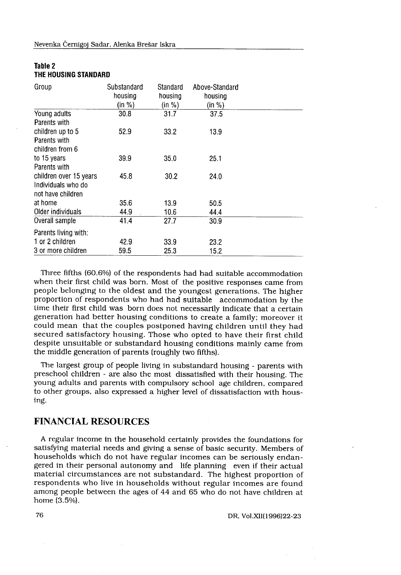| Table 2 |                      |
|---------|----------------------|
|         | THE HOUSING STANDARD |

| Nevenka Černigoj Sadar, Alenka Brešar Iskra    |             |          |                |
|------------------------------------------------|-------------|----------|----------------|
|                                                |             |          |                |
|                                                |             |          |                |
|                                                |             |          |                |
|                                                |             |          |                |
|                                                |             |          |                |
|                                                |             |          |                |
|                                                |             |          |                |
|                                                |             |          |                |
|                                                |             |          |                |
| Table 2                                        |             |          |                |
| THE HOUSING STANDARD                           |             |          |                |
| Group                                          | Substandard | Standard | Above-Standard |
|                                                | housing     | housing  | housing        |
|                                                | (in %)      | (in %)   | (in %)         |
| Young adults                                   | 30.8        | 31.7     | 37.5           |
| Parents with                                   |             |          |                |
| children up to 5<br>Parents with               | 52.9        | 33.2     | 13.9           |
| children from 6                                |             |          |                |
| to 15 years                                    | 39.9        | 35.0     | 25.1           |
| Parents with                                   |             |          |                |
| children over 15 years                         | 45.8        | 30.2     | 24.0           |
| Individuals who do                             |             |          |                |
| not have children                              |             |          |                |
|                                                | 35.6        | 13.9     | 50.5           |
|                                                | 44.9        | 10.6     | 44.4           |
|                                                |             | 27.7     | 30.9           |
| at home<br>Older individuals<br>Overall sample | 41.4        |          |                |
| Parents living with:                           |             |          |                |
| 1 or 2 children                                | 42.9        | 33.9     | 23.2           |

Three fifths (60 .6%) of the respondents had had suitable accommodation when their first child was born. Most of the positive responses came from people belonging to the oldest and the youngest generations . The higher proportion of respondents who had had suitable accommodation by the time their first child was born does not necessarily indicate that a certain generation had better housing conditions to create a family; moreover it could mean that the couples postponed having children until they had secured satisfactory housing. Those who opted to have their first child despite unsuitable or substandard housing conditions mainly came from the middle generation of parents (roughly two fifths) .

The largest group of people living in substandard housing - parents with preschool children - are also the most dissatisfied with their housing. The young adults and parents with compulsory school age children, compared to other groups, also expressed a higher level of dissatisfaction with housing .

# FINANCIAL RESOURCES

A regular income in the household certainly provides the foundations for satisfying material needs and giving a sense of basic security . Members of households which do not have regular incomes can be seriously endangered in their personal autonomy and life planning even if their actual material circumstances are not substandard. The highest proportion of respondents who live in households without regular incomes are found among people between the ages of 44 and 65 who do not have children at home (3.5%).

DR, Vol .XII(1996)22-23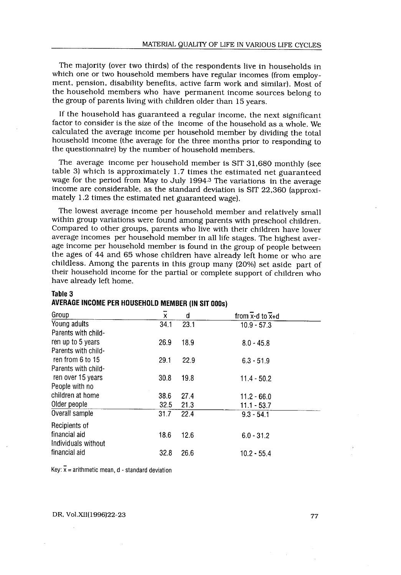The majority (over two thirds) of the respondents live in households in which one or two household members have regular incomes (from employment, pension, disability benefits, active farm work and similar). Most of the household members who have permanent income sources belong to the group of parents living with children older than 15 years.

If the household has guaranteed a regular income, the next significant factor to consider is the size of the income of the household as a whole . We calculated the average income per household member by dividing the total household income (the average for the three months prior to responding to the questionnaire) by the number of household members .

The average income per household member is SIT 31,680 monthly (see table 3) which is approximately 1 .7 times the estimated net guaranteed wage for the period from May to July 1994<sup>3</sup> The variations in the average income are considerable, as the standard deviation is SIT 22,360 (approximately 1.2 times the estimated net guaranteed wage).

The lowest average income per household member and relatively small within group variations were found among parents with preschool children. Compared to other groups, parents who live with their children have lower average incomes per household member in all life stages . The highest average income per household member is found in the group of people between the ages of 44 and 65 whose children have already left home or who are childless . Among the parents in this group many (20%) set aside part of their household income for the partial or complete support of children who have already left home.

| have already left home.                                      |      |      | average incomes per household member in all life stages. The highest aver-<br>age income per household member is found in the group of people between<br>the ages of 44 and 65 whose children have already left home or who are<br>childless. Among the parents in this group many (20%) set aside part of<br>their household income for the partial or complete support of children who |
|--------------------------------------------------------------|------|------|------------------------------------------------------------------------------------------------------------------------------------------------------------------------------------------------------------------------------------------------------------------------------------------------------------------------------------------------------------------------------------------|
| Table 3<br>AVERAGE INCOME PER HOUSEHOLD MEMBER (IN SIT 000s) |      |      |                                                                                                                                                                                                                                                                                                                                                                                          |
| Group                                                        | X    | d    | from x-d to $\overline{x}$ +d                                                                                                                                                                                                                                                                                                                                                            |
| Young adults<br>Parents with child-                          | 34.1 | 23.1 | $10.9 - 57.3$                                                                                                                                                                                                                                                                                                                                                                            |
| ren up to 5 years<br>Parents with child-                     | 26.9 | 18.9 | $8.0 - 45.8$                                                                                                                                                                                                                                                                                                                                                                             |
| ren from 6 to 15<br>Parents with child-                      | 29.1 | 22.9 | $6.3 - 51.9$                                                                                                                                                                                                                                                                                                                                                                             |
| ren over 15 years<br>People with no                          | 30.8 | 19.8 | $11.4 - 50.2$                                                                                                                                                                                                                                                                                                                                                                            |
| children at home                                             | 38.6 | 27.4 | $11.2 - 66.0$                                                                                                                                                                                                                                                                                                                                                                            |
| Older people                                                 | 32.5 | 21.3 | $11.1 - 53.7$                                                                                                                                                                                                                                                                                                                                                                            |
| Overall sample                                               | 31.7 | 22.4 | $9.3 - 54.1$                                                                                                                                                                                                                                                                                                                                                                             |
| Recipients of<br>financial aid<br>Individuals without        | 18.6 | 12.6 | $6.0 - 31.2$                                                                                                                                                                                                                                                                                                                                                                             |
| financial aid                                                | 32.8 | 26.6 | $10.2 - 55.4$                                                                                                                                                                                                                                                                                                                                                                            |

#### Table 3 AVERAGE INCOME PER HOUSEHOLD MEMBER (IN SIT 000s)

Key:  $\bar{x}$  = arithmetic mean, d - standard deviation

DR, Vol.XII(1996) 22-23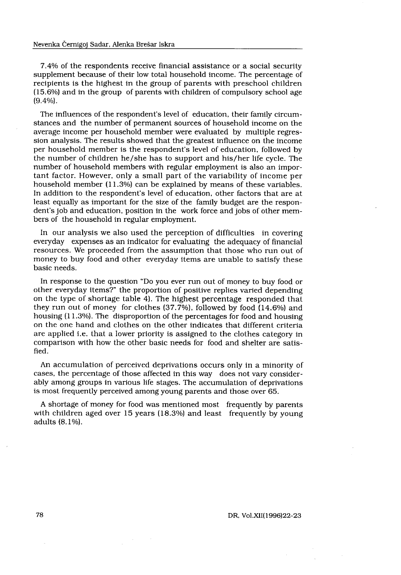7.4% of the respondents receive financial assistance or a social security supplement because of their low total household income. The percentage of recipients is the highest in the group of parents with preschool children (15 .6%) and in the group of parents with children of compulsory school age  $(9.4\%)$ .

The influences of the respondent's level of education, their family circumstances and the number of permanent sources of household income on the average income per household member were evaluated by multiple regression analysis . The results showed that the greatest influence on the income per household member is the respondent's level of education, followed by the number of children he/she has to support and his/her life cycle. The number of household members with regular employment is also an important factor. However, only a small part of the variability of income per household member (11.3%) can be explained by means of these variables. In addition to the respondent's level of education, other factors that are at least equally as important for the size of the family budget are the respondent's job and education, position in the work force and jobs of other members of the household in regular employment.

In our analysis we also used the perception of difficulties in covering everyday expenses as an indicator for evaluating the adequacy of financial resources . We proceeded from the assumption that those who run out of money to buy food and other everyday items are unable to satisfy these basic needs.

In response to the question "Do you ever run out of money to buy food or other everyday items?" the proportion of positive replies varied depending on the type of shortage table 4). The highest percentage responded that they run out of money for clothes  $(37.7%)$ , followed by food  $(14.6%)$  and housing (11 .3%). The disproportion of the percentages for food and housing on the one hand and clothes on the other indicates that different criteria are applied i.e. that a lower priority is assigned to the clothes category in comparison with how the other basic needs for food and shelter are satisfied.

An accumulation of perceived deprivations occurs only in a minority of cases, the percentage of those affected in this way does not vary considerably among groups in various life stages. The accumulation of deprivations is most frequently perceived among young parents and those over 65 .

A shortage of money for food was mentioned most frequently by parents with children aged over 15 years (18.3%) and least frequently by young adults (8.1%).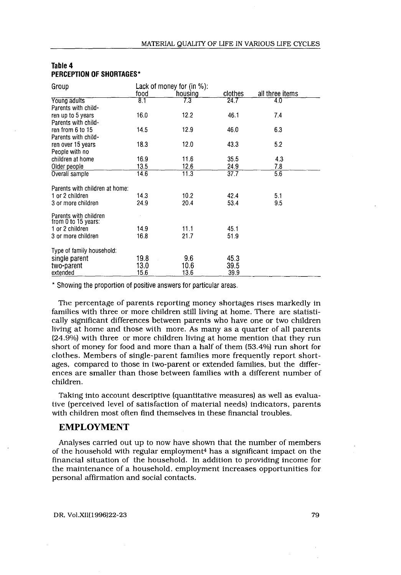| Table 4<br>PERCEPTION OF SHORTAGES*      |      |                             |         |                 |  |  |
|------------------------------------------|------|-----------------------------|---------|-----------------|--|--|
| Group                                    |      | Lack of money for $(in %):$ |         |                 |  |  |
|                                          | food | housing                     | clothes | all three items |  |  |
| Young adults                             | 8.T  | 7.3                         | 24.7    | 4.0             |  |  |
| Parents with child-                      | 16.0 | 12.2                        | 46.1    | 7.4             |  |  |
| ren up to 5 years<br>Parents with child- |      |                             |         |                 |  |  |
| ren from 6 to 15                         | 14.5 | 12.9                        | 46.0    | 6.3             |  |  |
| Parents with child-                      |      |                             |         |                 |  |  |
| ren over 15 years                        | 18.3 | 12.0                        | 43.3    | 5.2             |  |  |
| People with no                           |      |                             |         |                 |  |  |
| children at home                         | 16.9 | 11.6                        | 35.5    | 4.3             |  |  |
| Older people                             | 13.5 | 12.6                        | 24.9    | 7.8             |  |  |
| Overall sample                           | 14.6 | 11.3                        | 37.7    | 5.6             |  |  |
| Parents with children at home:           |      |                             |         |                 |  |  |
| 1 or 2 children                          | 14.3 | 10.2                        | 42.4    | 5.1             |  |  |
| 3 or more children                       | 24.9 | 20.4                        | 53.4    | 9.5             |  |  |
| Parents with children                    |      |                             |         |                 |  |  |
| from 0 to 15 years:                      |      |                             |         |                 |  |  |
| 1 or 2 children                          | 14.9 | 11.1                        | 45.1    |                 |  |  |
| 3 or more children                       | 16.8 | 21.7                        | 51.9    |                 |  |  |
| Type of family household:                |      |                             |         |                 |  |  |
| single parent                            | 19.8 | 9.6                         | 45.3    |                 |  |  |
| two-parent                               | 13.0 | 10.6                        | 39.5    |                 |  |  |
| extended                                 | 15.6 | 13.6                        | 39.9    |                 |  |  |

## Table 4 PERCEPTION OF SHORTAGES\*

 

The percentage of parents reporting money shortages rises markedly in families with three or more children still living at home . There are statistically significant differences between parents who have one or two children living at home and those with more. As many as a quarter of all parents (24.9%) with three or more children living at home mention that they run short of money for food and more than a half of them (53 .4%) run short for clothes. Members of single-parent families more frequently report shortages, compared to those in two-parent or extended families, but the differences are smaller than those between families with a different number of children.

Taking into account descriptive (quantitative measures) as well as evaluative (perceived level of satisfaction of material needs) indicators, parents with children most often find themselves in these financial troubles.

## EMPLOYMENT

Analyses carried out up to now have shown that the number of members of the household with regular employment<sup>4</sup> has a significant impact on the financial situation of the household. In addition to providing income for the maintenance of a household, employment increases opportunities for personal affirmation and social contacts .

DR, Vol.XII(1996) 22-23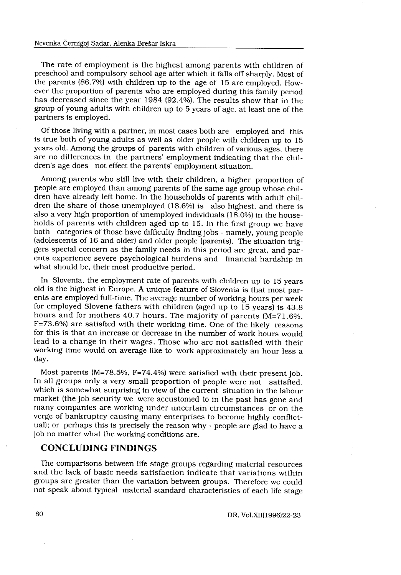#### Nevenka Černigoj Sadar, Alenka Brešar Iskra

The rate of employment is the highest among parents with children of preschool and compulsory school age after which it falls off sharply . Most of the parents (86.7%) with children up to the age of 15 are employed. However the proportion of parents who are employed during this family period has decreased since the year 1984 (92 .4%) . The results show that in the group of young adults with children up to 5 years of age, at least one of the partners is employed.

Of those living with a partner, in most cases both are employed and this is true both of young adults as well as older people with children up to 15 years old. Among the groups of parents with children of various ages, there are no differences in the partners' employment indicating that the children's age does not effect the parents' employment situation.

Among parents who still live with their children, a higher proportion of people are employed than among parents of the same age group whose children have already left home . In the households of parents with adult children the share of those unemployed (18 .6%) is also highest, and there is also a very high proportion of unemployed individuals (18 .0%) in the households of parents with children aged up to 15 . In the first group we have both categories of those have difficulty finding jobs - namely, young people (adolescents of 16 and older) and older people (parents). The situation triggers special concern as the family needs in this period are great, and parents experience severe psychological burdens and financial hardship in what should be, their most productive period.

In Slovenia, the employment rate of parents with children up to 15 years old is the highest in Europe. A unique feature of Slovenia is that most parents are employed full-time . The average number of working hours per week for employed Slovene fathers with children (aged up to 15 years) is 43 .8 hours and for mothers 40.7 hours. The majority of parents (M=71.6%, F=73.6%) are satisfied with their working time. One of the likely reasons for this is that an increase or decrease in the number of work hours would lead to a change in their wages. Those who are not satisfied with their working time would on average like to work approximately an hour less a day.

Most parents (M=78.5%, F=74.4%) were satisfied with their present job. In all groups only a very small proportion of people were not satisfied, which is somewhat surprising in view of the current situation in the labour market (the job security we were accustomed to in the past has gone and many companies are working under uncertain circumstances or on the verge of bankruptcy causing many enterprises to become highly conflictual); or perhaps this is precisely the reason why - people are glad to have a job no matter what the working conditions are.

# CONCLUDING FINDINGS

The comparisons between life stage groups regarding material resources and the lack of basic needs satisfaction indicate that variations within groups are greater than the variation between groups. Therefore we could not speak about typical material standard characteristics of each life stage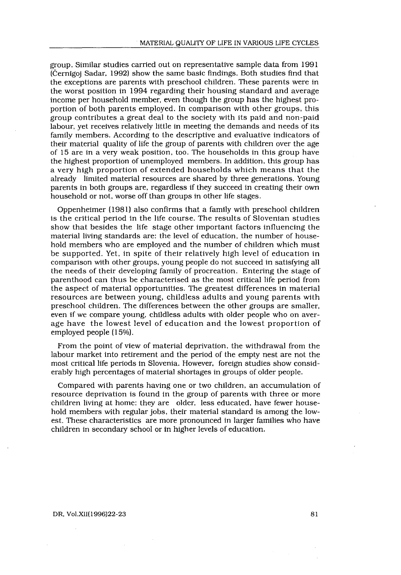group. Similar studies carried out on representative sample data from 1991 (Černigoj Sadar, 1992) show the same basic findings . Both studies find that the exceptions are parents with preschool children. These parents were in the worst position in 1994 regarding their housing standard and average income per household member, even though the group has the highest proportion of both parents employed . In comparison with other groups, this group contributes a great deal to the society with its paid and non-paid labour, yet receives relatively little in meeting the demands and needs of its family members. According to the descriptive and evaluative indicators of their material quality of life the group of parents with children over the age of 15 are in a very weak position, too . The households in this group have the highest proportion of unemployed members. In addition, this group has a very high proportion of extended households which means that the already limited material resources are shared by three generations . Young parents in both groups are, regardless if they succeed in creating their own household or not, worse off than groups in other life stages.

Oppenheimer (1981) also confirms that a family with preschool children is the critical period in the life course. The results of Slovenian studies show that besides the life stage other important factors influencing the material living standards are: the level of education, the number of household members who are employed and the number of children which must be supported. Yet, in spite of their relatively high level of education in comparison with other groups, young people do not succeed in satisfying all the needs of their developing family of procreation . Entering the stage of parenthood can thus be characterised as the most critical life period from the aspect of material opportunities . The greatest differences in material resources are between young, childless adults and young parents with preschool children. The differences between the other groups are smaller, even if we compare young, childless adults with older people who on average have the lowest level of education and the lowest proportion of employed people (15%) .

From the point of view of material deprivation, the withdrawal from the labour market into retirement and the period of the empty nest are not the most critical life periods in Slovenia . However, foreign studies show considerably high percentages of material shortages in groups of older people .

Compared with parents having one or two children, an accumulation of resource deprivation is found in the group of parents with three or more children living at home: they are older, less educated, have fewer household members with regular jobs, their material standard is among the lowest. These characteristics are more pronounced in larger families who have children in secondary school or in higher levels of education.

#### DR, Vol.XII(1996)22-23

81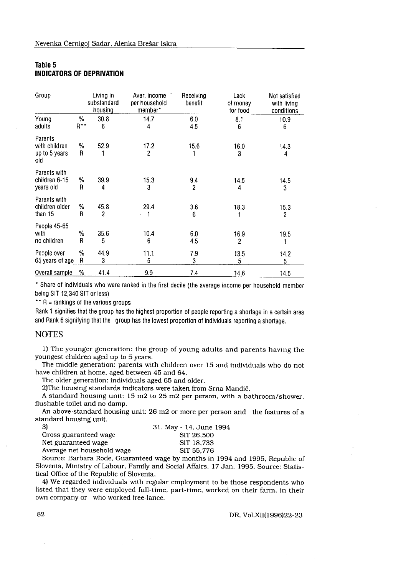#### Table 5 INDICATORS OF DEPRIVATION

| Table 5                                                                                                |             |                                     | Nevenka Černigoj Sadar, Alenka Brešar Iskra                                                                                                                                                                                                                                                                                                                                                                                                                                                                   |                                        |                              |                                            |
|--------------------------------------------------------------------------------------------------------|-------------|-------------------------------------|---------------------------------------------------------------------------------------------------------------------------------------------------------------------------------------------------------------------------------------------------------------------------------------------------------------------------------------------------------------------------------------------------------------------------------------------------------------------------------------------------------------|----------------------------------------|------------------------------|--------------------------------------------|
|                                                                                                        |             | <b>INDICATORS OF DEPRIVATION</b>    |                                                                                                                                                                                                                                                                                                                                                                                                                                                                                                               |                                        |                              |                                            |
| Group                                                                                                  |             | Living in<br>substandard<br>housing | Aver, income<br>per household<br>member*                                                                                                                                                                                                                                                                                                                                                                                                                                                                      | Receiving<br>benefit                   | Lack<br>of money<br>for food | Not satisfied<br>with living<br>conditions |
| Young<br>adults                                                                                        | $\%$<br>R** | 30.8<br>6                           | 14.7<br>4                                                                                                                                                                                                                                                                                                                                                                                                                                                                                                     | 6.0<br>4.5                             | 8.1<br>6                     | 10.9<br>6                                  |
| Parents<br>with children<br>up to 5 years<br>old                                                       | %<br>R      | 52.9<br>1                           | 17.2<br>2                                                                                                                                                                                                                                                                                                                                                                                                                                                                                                     | 15.6<br>1                              | 16.0<br>3                    | 14.3<br>4                                  |
| Parents with<br>children 6-15<br>years old                                                             | %<br>R      | 39.9<br>4                           | 15.3<br>3                                                                                                                                                                                                                                                                                                                                                                                                                                                                                                     | 9.4<br>2                               | 14.5<br>4                    | 14.5<br>3                                  |
| Parents with<br>children older<br>than 15                                                              | %<br>R      | 45.8<br>2                           | 29.4<br>1                                                                                                                                                                                                                                                                                                                                                                                                                                                                                                     | 3.6<br>6                               | 18.3<br>1                    | 15.3<br>2                                  |
| People 45-65<br>with<br>no children                                                                    | %<br>R      | 35.6<br>5                           | 10.4<br>6                                                                                                                                                                                                                                                                                                                                                                                                                                                                                                     | 6.0<br>4.5                             | 16.9<br>2                    | 19.5<br>1                                  |
| People over<br>65 years of age                                                                         | %<br>R      | 44.9<br>3                           | 11.1<br>5                                                                                                                                                                                                                                                                                                                                                                                                                                                                                                     | 7.9<br>3                               | 13.5<br>5                    | 14.2<br>5                                  |
| Overall sample %                                                                                       |             | 41.4                                | 9.9                                                                                                                                                                                                                                                                                                                                                                                                                                                                                                           | 7.4                                    | 14.6                         | 14.5                                       |
| being SIT 12,340 SIT or less)<br>** R = rankings of the various groups<br><b>NOTES</b>                 |             |                                     | Rank 1 signifies that the group has the highest proportion of people reporting a shortage in a certain area<br>and Rank 6 signifying that the group has the lowest proportion of individuals reporting a shortage.                                                                                                                                                                                                                                                                                            |                                        |                              |                                            |
| youngest children aged up to 5 years.<br>flushable toilet and no damp.<br>standard housing unit.<br>3) |             |                                     | 1) The younger generation: the group of young adults and parents having the<br>The middle generation: parents with children over 15 and individuals who do not<br>have children at home, aged between 45 and 64.<br>The older generation: individuals aged 65 and older.<br>2) The housing standards indicators were taken from Srna Mandič.<br>A standard housing unit: 15 m2 to 25 m2 per person, with a bathroom/shower,<br>An above-standard housing unit: 26 m2 or more per person and the features of a | 31. May - 14. June 1994                |                              |                                            |
| Gross guaranteed wage<br>Net guaranteed wage<br>tical Office of the Republic of Slovenia.              |             | Average net household wage          | Source: Barbara Rode, Guaranteed wage by months in 1994 and 1995, Republic of<br>Slovenia, Ministry of Labour, Family and Social Affairs, 17 Jan. 1995. Source: Statis-<br>4) We regarded individuals with regular employment to be those respondents who<br>listed that they were employed full-time, part-time, worked on their farm, in their                                                                                                                                                              | SIT 26,500<br>SIT 18,733<br>SIT 55,776 |                              |                                            |
|                                                                                                        |             |                                     | own company or who worked free-lance.                                                                                                                                                                                                                                                                                                                                                                                                                                                                         |                                        |                              |                                            |

#### NOTES

| 31. May - 14. June 1994 |
|-------------------------|
| SIT 26,500              |
| SIT 18.733              |
| SIT 55.776              |
|                         |